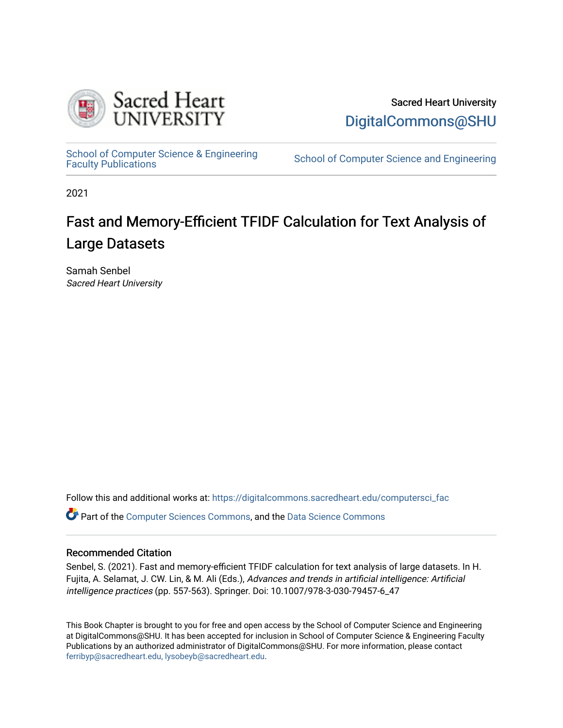

Sacred Heart University [DigitalCommons@SHU](https://digitalcommons.sacredheart.edu/) 

School of Computer Science & Engineering<br>Faculty Publications

School of Computer Science and Engineering

2021

# Fast and Memory-Efficient TFIDF Calculation for Text Analysis of Large Datasets

Samah Senbel Sacred Heart University

Follow this and additional works at: [https://digitalcommons.sacredheart.edu/computersci\\_fac](https://digitalcommons.sacredheart.edu/computersci_fac?utm_source=digitalcommons.sacredheart.edu%2Fcomputersci_fac%2F179&utm_medium=PDF&utm_campaign=PDFCoverPages) 

Part of the [Computer Sciences Commons](http://network.bepress.com/hgg/discipline/142?utm_source=digitalcommons.sacredheart.edu%2Fcomputersci_fac%2F179&utm_medium=PDF&utm_campaign=PDFCoverPages), and the [Data Science Commons](http://network.bepress.com/hgg/discipline/1429?utm_source=digitalcommons.sacredheart.edu%2Fcomputersci_fac%2F179&utm_medium=PDF&utm_campaign=PDFCoverPages)

## Recommended Citation

Senbel, S. (2021). Fast and memory-efficient TFIDF calculation for text analysis of large datasets. In H. Fujita, A. Selamat, J. CW. Lin, & M. Ali (Eds.), Advances and trends in artificial intelligence: Artificial intelligence practices (pp. 557-563). Springer. Doi: 10.1007/978-3-030-79457-6\_47

This Book Chapter is brought to you for free and open access by the School of Computer Science and Engineering at DigitalCommons@SHU. It has been accepted for inclusion in School of Computer Science & Engineering Faculty Publications by an authorized administrator of DigitalCommons@SHU. For more information, please contact [ferribyp@sacredheart.edu, lysobeyb@sacredheart.edu.](mailto:ferribyp@sacredheart.edu,%20lysobeyb@sacredheart.edu)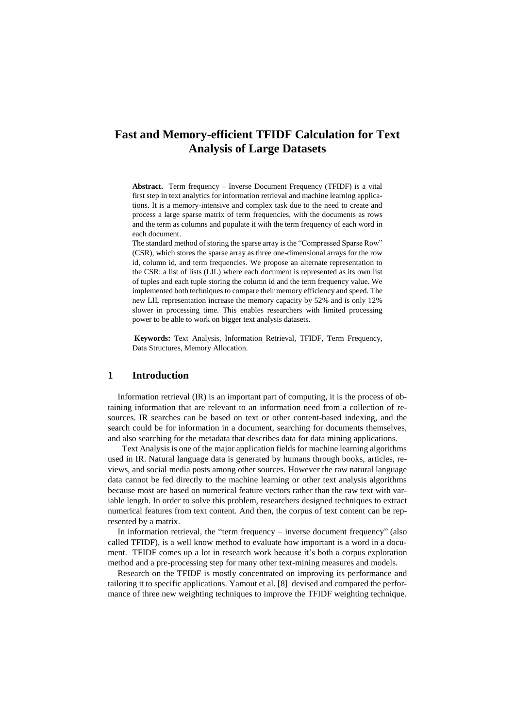## **Fast and Memory-efficient TFIDF Calculation for Text Analysis of Large Datasets**

**Abstract.** Term frequency – Inverse Document Frequency (TFIDF) is a vital first step in text analytics for information retrieval and machine learning applications. It is a memory-intensive and complex task due to the need to create and process a large sparse matrix of term frequencies, with the documents as rows and the term as columns and populate it with the term frequency of each word in each document.

The standard method of storing the sparse array is the "Compressed Sparse Row" (CSR), which stores the sparse array as three one-dimensional arrays for the row id, column id, and term frequencies. We propose an alternate representation to the CSR: a list of lists (LIL) where each document is represented as its own list of tuples and each tuple storing the column id and the term frequency value. We implemented both techniques to compare their memory efficiency and speed. The new LIL representation increase the memory capacity by 52% and is only 12% slower in processing time. This enables researchers with limited processing power to be able to work on bigger text analysis datasets.

**Keywords:** Text Analysis, Information Retrieval, TFIDF, Term Frequency, Data Structures, Memory Allocation.

### **1 Introduction**

Information retrieval (IR) is an important part of computing, it is the process of obtaining information that are relevant to an information need from a collection of resources. IR searches can be based on text or other content-based indexing, and the search could be for information in a document, searching for documents themselves, and also searching for the metadata that describes data for data mining applications.

Text Analysis is one of the major application fields for machine learning algorithms used in IR. Natural language data is generated by humans through books, articles, reviews, and social media posts among other sources. However the raw natural language data cannot be fed directly to the machine learning or other text analysis algorithms because most are based on numerical feature vectors rather than the raw text with variable length. In order to solve this problem, researchers designed techniques to extract numerical features from text content. And then, the corpus of text content can be represented by a matrix.

In information retrieval, the "term frequency – [inverse document frequency"](http://en.wikipedia.org/wiki/Tf%E2%80%93idf) (also called TFIDF), is a well know method to evaluate how important is a word in a document. TFIDF comes up a lot in research work because it's both a [corpus](https://en.wikipedia.org/wiki/Text_corpus) exploration method and a pre-processing step for many other text-mining measures and models.

Research on the TFIDF is mostly concentrated on improving its performance and tailoring it to specific applications. Yamout et al. [8] devised and compared the performance of three new weighting techniques to improve the TFIDF weighting technique.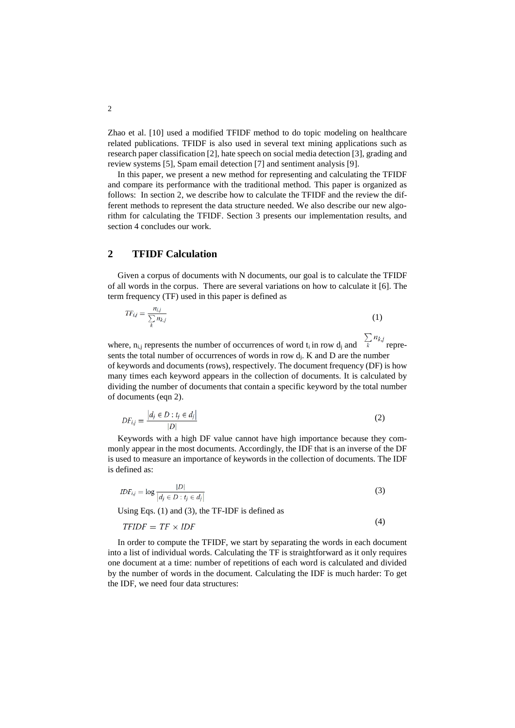Zhao et al. [10] used a modified TFIDF method to do topic modeling on healthcare related publications. TFIDF is also used in several text mining applications such as research paper classification [2], hate speech on social media detection [3], grading and review systems [5], Spam email detection [7] and sentiment analysis [9].

In this paper, we present a new method for representing and calculating the TFIDF and compare its performance with the traditional method. This paper is organized as follows: In section 2, we describe how to calculate the TFIDF and the review the different methods to represent the data structure needed. We also describe our new algorithm for calculating the TFIDF. Section 3 presents our implementation results, and section 4 concludes our work.

## **2 TFIDF Calculation**

 $\mathcal{L}_{\mathrm{eff}}$ 

Given a corpus of documents with N documents, our goal is to calculate the TFIDF of all words in the corpus. There are several variations on how to calculate it [6]. The term frequency (TF) used in this paper is defined as

$$
TF_{i,j} = \frac{n_{i,j}}{\sum_{k} n_{k,j}}\tag{1}
$$

where,  $n_{i,j}$  represents the number of occurrences of word  $t_i$  in row  $d_j$  and  $\sum_{k=1}^{n_k} r_k$  represents the total number of occurrences of words in row  $d_i$ . K and D are the number of keywords and documents (rows), respectively. The document frequency (DF) is how many times each keyword appears in the collection of documents. It is calculated by dividing the number of documents that contain a specific keyword by the total number of documents (eqn 2).

$$
DF_{i,j} = \frac{|d_j \in D : t_j \in d_j|}{|D|} \tag{2}
$$

Keywords with a high DF value cannot have high importance because they commonly appear in the most documents. Accordingly, the IDF that is an inverse of the DF is used to measure an importance of keywords in the collection of documents. The IDF is defined as:

$$
IDF_{i,j} = \log \frac{|D|}{|d_j \in D : t_j \in d_j|}
$$
\n<sup>(3)</sup>

Using Eqs. (1) and (3), the TF-IDF is defined as

$$
TFIDF = TF \times IDF \tag{4}
$$

In order to compute the TFIDF, we start by separating the words in each document into a list of individual words. Calculating the TF is straightforward as it only requires one document at a time: number of repetitions of each word is calculated and divided by the number of words in the document. Calculating the IDF is much harder: To get the IDF, we need four data structures: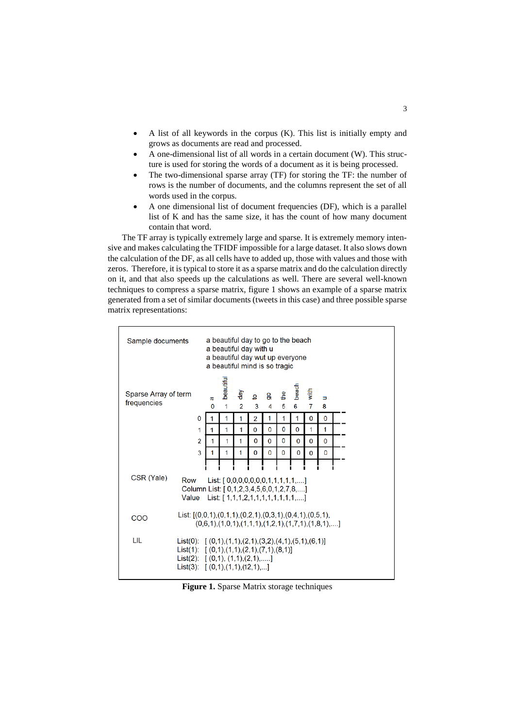- A list of all keywords in the corpus (K). This list is initially empty and grows as documents are read and processed.
- A one-dimensional list of all words in a certain document (W). This structure is used for storing the words of a document as it is being processed.
- The two-dimensional sparse array (TF) for storing the TF: the number of rows is the number of documents, and the columns represent the set of all words used in the corpus.
- A one dimensional list of document frequencies (DF), which is a parallel list of K and has the same size, it has the count of how many document contain that word.

 The TF array is typically extremely large and sparse. It is extremely memory intensive and makes calculating the TFIDF impossible for a large dataset. It also slows down the calculation of the DF, as all cells have to added up, those with values and those with zeros. Therefore, it is typical to store it as a sparse matrix and do the calculation directly on it, and that also speeds up the calculations as well. There are several well-known techniques to compress a sparse matrix, figure 1 shows an example of a sparse matrix generated from a set of similar documents (tweets in this case) and three possible sparse matrix representations:



**Figure 1.** Sparse Matrix storage techniques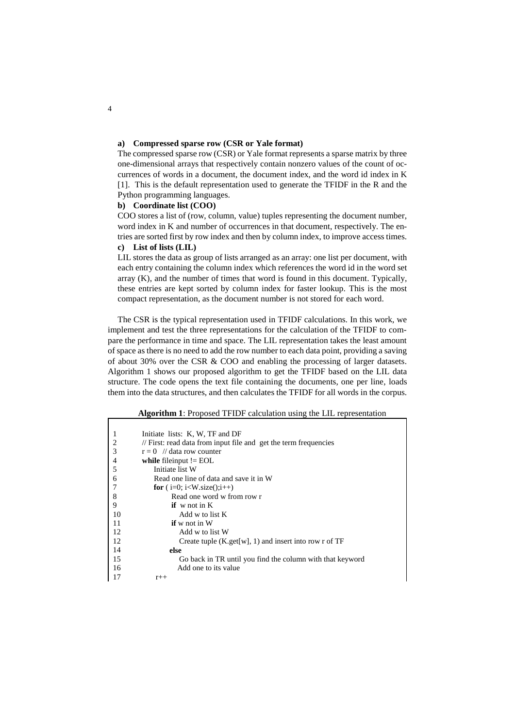#### **a) Compressed sparse row (CSR or Yale format)**

The compressed sparse row (CSR) or Yale format represents a sparse matrix by three one-dimensional arrays that respectively contain nonzero values of the count of occurrences of words in a document, the document index, and the word id index in K [1]. This is the default representation used to generate the TFIDF in the R and the Python programming languages.

#### **b) Coordinate list (COO)**

COO stores a list of (row, column, value) tuples representing the document number, word index in K and number of occurrences in that document, respectively. The entries are sorted first by row index and then by column index, to improve access times.

#### **c) List of lists (LIL)**

LIL stores the data as group of lists arranged as an array: one list per document, with each entry containing the column index which references the word id in the word set array (K), and the number of times that word is found in this document. Typically, these entries are kept sorted by column index for faster lookup. This is the most compact representation, as the document number is not stored for each word.

The CSR is the typical representation used in TFIDF calculations. In this work, we implement and test the three representations for the calculation of the TFIDF to compare the performance in time and space. The LIL representation takes the least amount of space as there is no need to add the row number to each data point, providing a saving of about 30% over the CSR & COO and enabling the processing of larger datasets. Algorithm 1 shows our proposed algorithm to get the TFIDF based on the LIL data structure. The code opens the text file containing the documents, one per line, loads them into the data structures, and then calculates the TFIDF for all words in the corpus.

#### **Algorithm 1**: Proposed TFIDF calculation using the LIL representation

|                | Initiate lists: K, W, TF and DF                                               |
|----------------|-------------------------------------------------------------------------------|
| $\overline{2}$ | $\frac{1}{\pi}$ First: read data from input file and get the term frequencies |
| 3              | $r = 0$ // data row counter                                                   |
| $\overline{4}$ | while filement $!=$ EOL                                                       |
| 5              | Initiate list W                                                               |
| 6              | Read one line of data and save it in W                                        |
|                | <b>for</b> ( $i=0$ ; $i<$ W.size( $(i++1)$                                    |
| 8              | Read one word w from row r                                                    |
| 9              | if $w$ not in $K$                                                             |
| 10             | Add w to list K                                                               |
| 11             | $\mathbf{if}$ w not in W                                                      |
| 12             | Add w to list W                                                               |
| 12             | Create tuple $(K.get[w], 1)$ and insert into row r of TF                      |
| 14             | else                                                                          |
| 15             | Go back in TR until you find the column with that keyword                     |
| 16             | Add one to its value                                                          |
| 17             | $r++$                                                                         |

4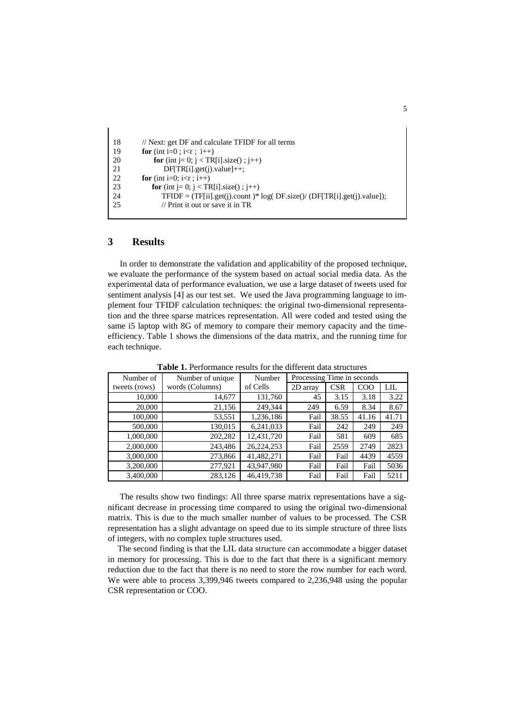```
18
19
20
21
22
23
24
25
         // Next: get DF and calculate TFIDF for all terms
         for (int i=0; i<rr; i++)
             for (int j = 0; j < TR[i].size(); j++) DF[TR[i].get(j).value]++;
         for (int i=0; i<r ; i++)
            for (int j= 0; j < TR[i].size(); j++)
                TFIDF = (TF[ii].get(i).count)*log(DF.size() / (DF[TR[i].get(i).value]); // Print it out or save it in TR
```
## **3 Results**

In order to demonstrate the validation and applicability of the proposed technique, we evaluate the performance of the system based on actual social media data. As the experimental data of performance evaluation, we use a large dataset of tweets used for sentiment analysis [4] as our test set. We used the Java programming language to implement four TFIDF calculation techniques: the original two-dimensional representation and the three sparse matrices representation. All were coded and tested using the same i5 laptop with 8G of memory to compare their memory capacity and the timeefficiency. Table 1 shows the dimensions of the data matrix, and the running time for each technique.

| Number of     | Number of unique | Number     | Processing Time in seconds |            |       |            |
|---------------|------------------|------------|----------------------------|------------|-------|------------|
| tweets (rows) | words (Columns)  | of Cells   | 2D array                   | <b>CSR</b> | COO   | <b>LIL</b> |
| 10,000        | 14,677           | 131,760    | 45                         | 3.15       | 3.18  | 3.22       |
| 20,000        | 21,156           | 249,344    | 249                        | 6.59       | 8.34  | 8.67       |
| 100,000       | 53,551           | 1,236,186  | Fail                       | 38.55      | 41.16 | 41.71      |
| 500,000       | 130,015          | 6,241,033  | Fail                       | 242        | 249   | 249        |
| 1,000,000     | 202,282          | 12,431,720 | Fail                       | 581        | 609   | 685        |
| 2,000,000     | 243,486          | 26,224,253 | Fail                       | 2559       | 2749  | 2823       |
| 3,000,000     | 273,866          | 41,482,271 | Fail                       | Fail       | 4439  | 4559       |
| 3,200,000     | 277,921          | 43,947,980 | Fail                       | Fail       | Fail  | 5036       |
| 3,400,000     | 283,126          | 46,419,738 | Fail                       | Fail       | Fail  | 5211       |

**Table 1.** Performance results for the different data structures

The results show two findings: All three sparse matrix representations have a significant decrease in processing time compared to using the original two-dimensional matrix. This is due to the much smaller number of values to be processed. The CSR representation has a slight advantage on speed due to its simple structure of three lists of integers, with no complex tuple structures used.

The second finding is that the LIL data structure can accommodate a bigger dataset in memory for processing. This is due to the fact that there is a significant memory reduction due to the fact that there is no need to store the row number for each word. We were able to process 3,399,946 tweets compared to 2,236,948 using the popular CSR representation or COO.